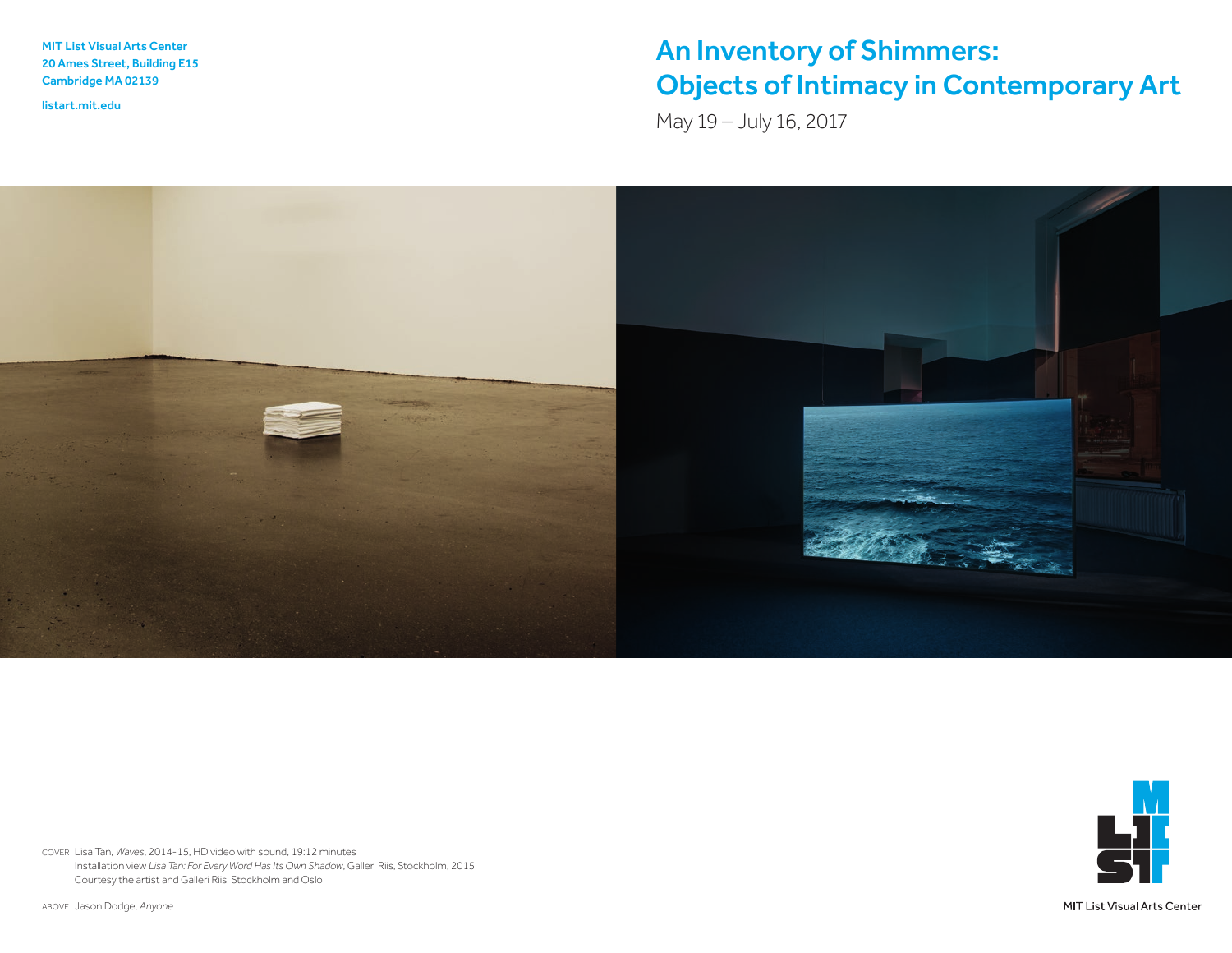MIT List Visual Arts Center 20 Ames Street, Building E15 Cambridge MA 02139

<listart.mit.edu>

## An Inventory of Shimmers: Objects of Intimacy in Contemporary Art

May 19 – July 16, 2017





COVER Lisa Tan, *Waves*, 2014-15, HD video with sound, 19:12 minutes Installation view *Lisa Tan: For Every Word Has Its Own Shadow*, Galleri Riis, Stockholm, 2015 Courtesy the artist and Galleri Riis, Stockholm and Oslo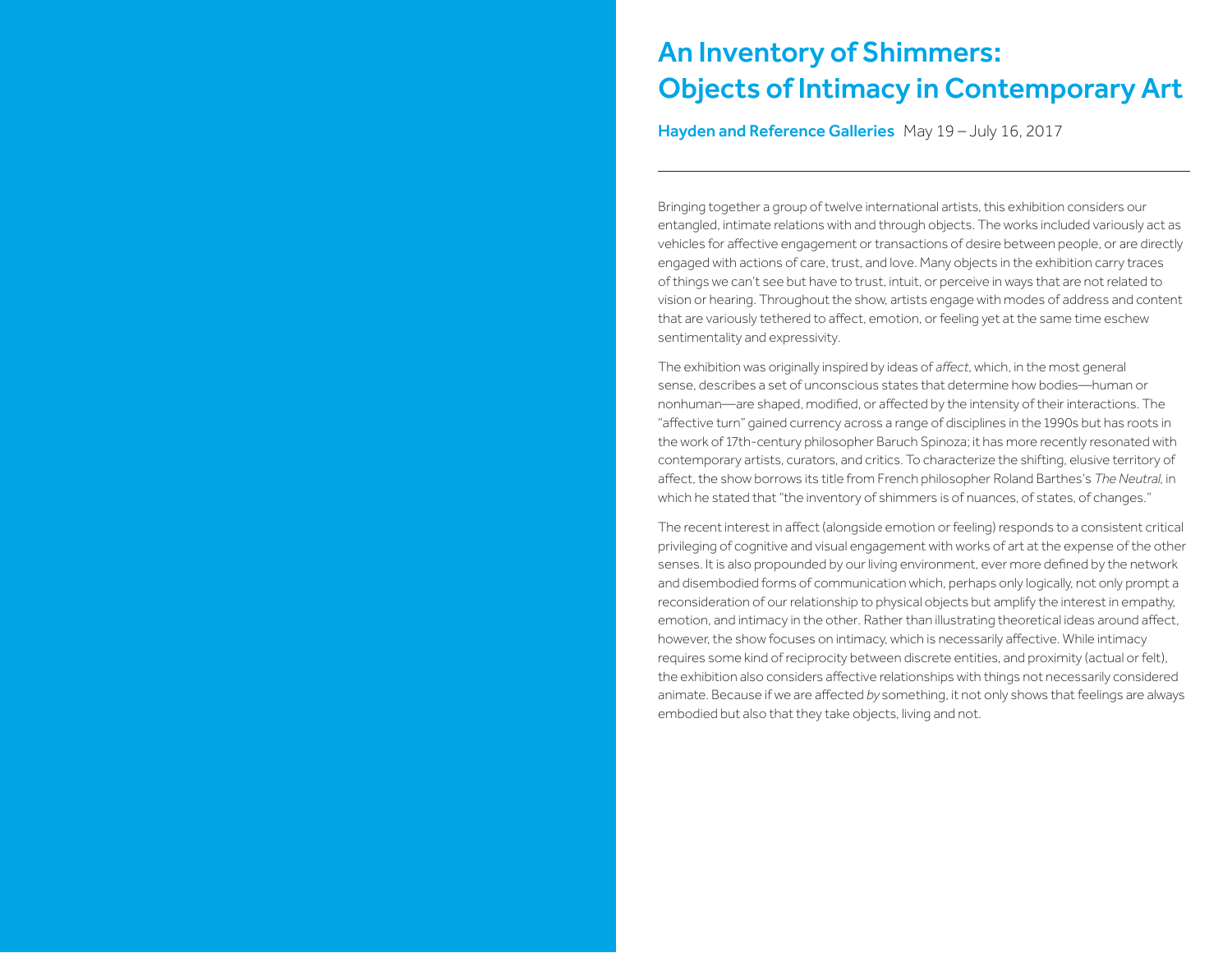### An Inventory of Shimmers: Objects of Intimacy in Contemporary Art

Hayden and Reference Galleries May 19 – July 16, 2017

Bringing together a group of twelve international artists, this exhibition considers our entangled, intimate relations with and through objects. The works included variously act as vehicles for affective engagement or transactions of desire between people, or are directly engaged with actions of care, trust, and love. Many objects in the exhibition carry traces of things we can't see but have to trust, intuit, or perceive in ways that are not related to vision or hearing. Throughout the show, artists engage with modes of address and content that are variously tethered to affect, emotion, or feeling yet at the same time eschew sentimentality and expressivity.

The exhibition was originally inspired by ideas of *affect*, which, in the most general sense, describes a set of unconscious states that determine how bodies—human or nonhuman—are shaped, modified, or affected by the intensity of their interactions. The "affective turn" gained currency across a range of disciplines in the 1990s but has roots in the work of 17th-century philosopher Baruch Spinoza; it has more recently resonated with contemporary artists, curators, and critics. To characterize the shifting, elusive territory of affect, the show borrows its title from French philosopher Roland Barthes's *The Neutral,* in which he stated that "the inventory of shimmers is of nuances, of states, of changes."

The recent interest in affect (alongside emotion or feeling) responds to a consistent critical privileging of cognitive and visual engagement with works of art at the expense of the other senses. It is also propounded by our living environment, ever more defined by the network and disembodied forms of communication which, perhaps only logically, not only prompt a reconsideration of our relationship to physical objects but amplify the interest in empathy, emotion, and intimacy in the other. Rather than illustrating theoretical ideas around affect, however, the show focuses on intimacy, which is necessarily affective. While intimacy requires some kind of reciprocity between discrete entities, and proximity (actual or felt), the exhibition also considers affective relationships with things not necessarily considered animate. Because if we are affected *by* something, it not only shows that feelings are always embodied but also that they take objects, living and not.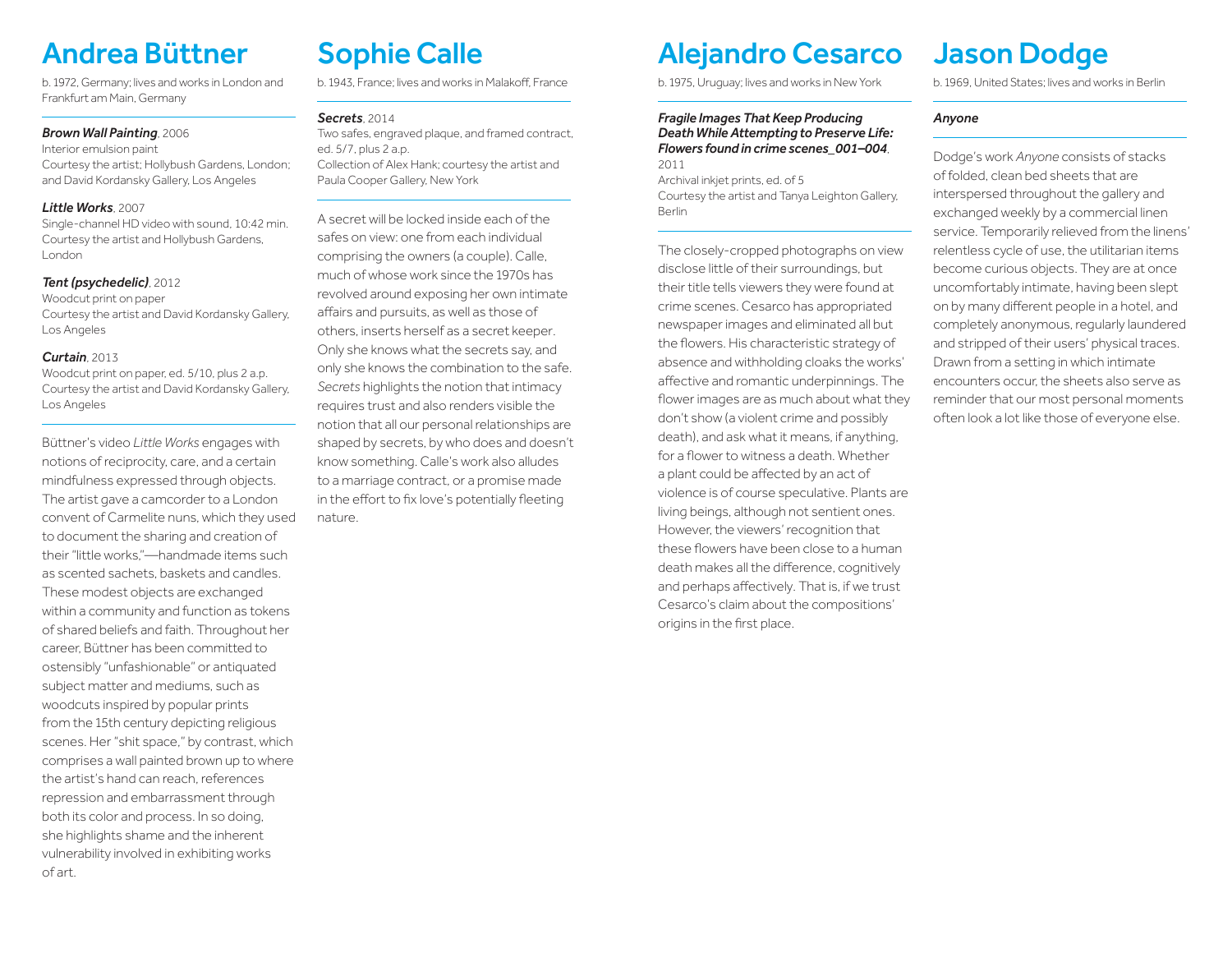# Andrea Büttner

b. 1972, Germany; lives and works in London and Frankfurt am Main, Germany

#### *Brown Wall Painting*, 2006

### Interior emulsion paint

Courtesy the artist; Hollybush Gardens, London; and David Kordansky Gallery, Los Angeles

#### *Little Works*, 2007

Single-channel HD video with sound, 10:42 min. Courtesy the artist and Hollybush Gardens, London

#### *Tent (psychedelic)*, 2012

Woodcut print on paper Courtesy the artist and David Kordansky Gallery, Los Angeles

#### *Curtain*, 2013

Woodcut print on paper, ed. 5/10, plus 2 a.p. Courtesy the artist and David Kordansky Gallery, Los Angeles

Büttner's video *Little Works* engages with notions of reciprocity, care, and a certain mindfulness expressed through objects. The artist gave a camcorder to a London convent of Carmelite nuns, which they used to document the sharing and creation of their "little works,"—handmade items such as scented sachets, baskets and candles. These modest objects are exchanged within a community and function as tokens of shared beliefs and faith. Throughout her career, Büttner has been committed to ostensibly "unfashionable" or antiquated subject matter and mediums, such as woodcuts inspired by popular prints from the 15th century depicting religious scenes. Her "shit space," by contrast, which comprises a wall painted brown up to where the artist's hand can reach, references repression and embarrassment through both its color and process. In so doing, she highlights shame and the inherent vulnerability involved in exhibiting works of art.

# Sophie Calle

b. 1943, France; lives and works in Malakoff, France

#### *Secrets*, 2014

Two safes, engraved plaque, and framed contract, ed. 5/7, plus 2 a.p. Collection of Alex Hank; courtesy the artist and Paula Cooper Gallery, New York

A secret will be locked inside each of the safes on view: one from each individual comprising the owners (a couple). Calle, much of whose work since the 1970s has revolved around exposing her own intimate affairs and pursuits, as well as those of others, inserts herself as a secret keeper. Only she knows what the secrets say, and only she knows the combination to the safe. *Secrets* highlights the notion that intimacy requires trust and also renders visible the notion that all our personal relationships are shaped by secrets, by who does and doesn't know something. Calle's work also alludes to a marriage contract, or a promise made in the effort to fix love's potentially fleeting nature.

## Alejandro Cesarco

b. 1975, Uruguay; lives and works in New York

#### *Fragile Images That Keep Producing Death While Attempting to Preserve Life: Flowers found in crime scenes\_001–004*, 2011

Archival inkjet prints, ed. of 5 Courtesy the artist and Tanya Leighton Gallery, Berlin

The closely-cropped photographs on view disclose little of their surroundings, but their title tells viewers they were found at crime scenes. Cesarco has appropriated newspaper images and eliminated all but the flowers. His characteristic strategy of absence and withholding cloaks the works' affective and romantic underpinnings. The flower images are as much about what they don't show (a violent crime and possibly death), and ask what it means, if anything, for a flower to witness a death. Whether a plant could be affected by an act of violence is of course speculative. Plants are living beings, although not sentient ones. However, the viewers' recognition that these flowers have been close to a human death makes all the difference, cognitively and perhaps affectively. That is, if we trust Cesarco's claim about the compositions' origins in the first place.

# Jason Dodge

b. 1969, United States; lives and works in Berlin

#### *Anyone*

Dodge's work *Anyone* consists of stacks of folded, clean bed sheets that are interspersed throughout the gallery and exchanged weekly by a commercial linen service. Temporarily relieved from the linens' relentless cycle of use, the utilitarian items become curious objects. They are at once uncomfortably intimate, having been slept on by many different people in a hotel, and completely anonymous, regularly laundered and stripped of their users' physical traces. Drawn from a setting in which intimate encounters occur, the sheets also serve as reminder that our most personal moments often look a lot like those of everyone else.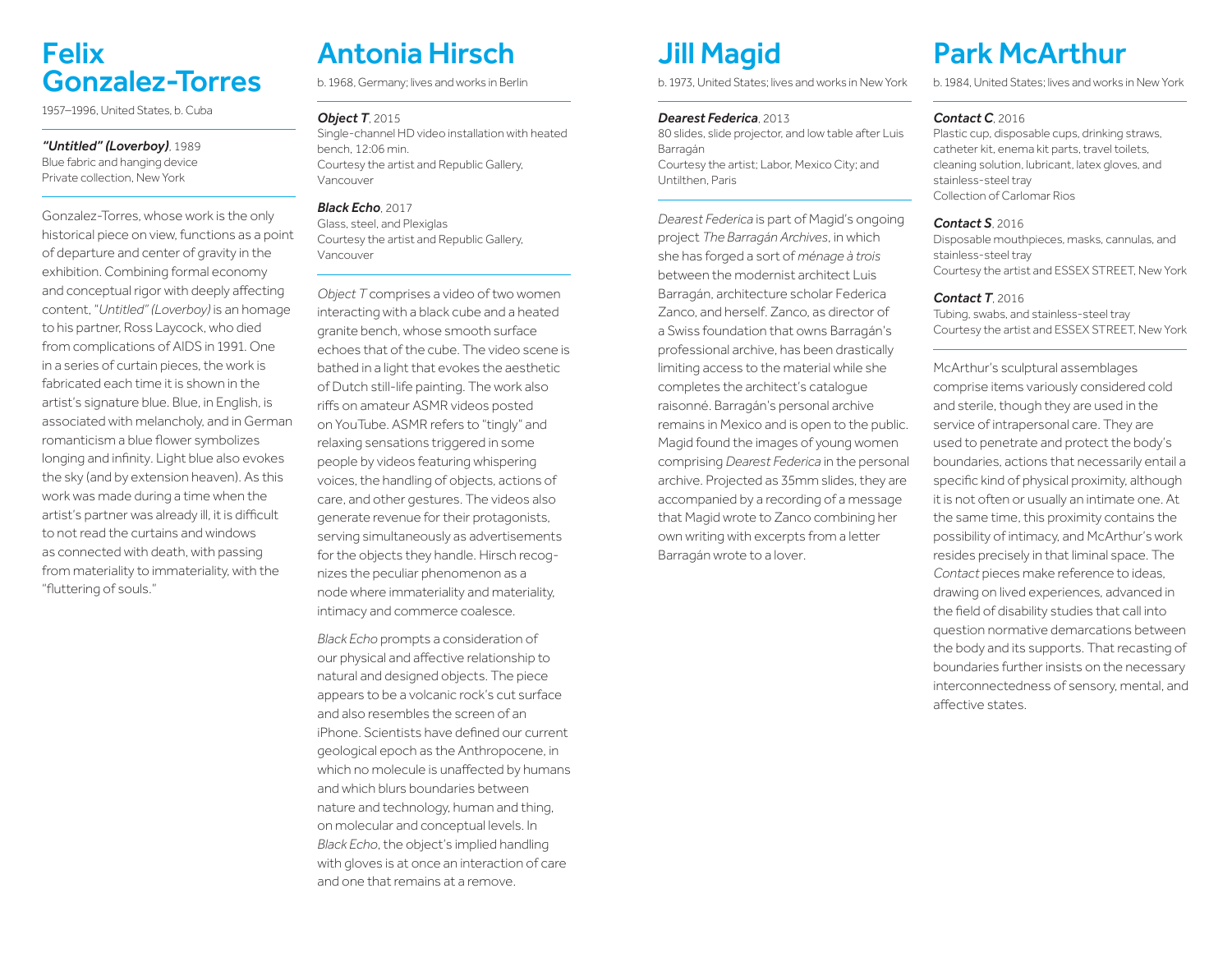### Felix Gonzalez-Torres

1957–1996, United States, b. Cuba

#### *"Untitled" (Loverboy)*, 1989

Blue fabric and hanging device Private collection, New York

Gonzalez-Torres, whose work is the only historical piece on view, functions as a point of departure and center of gravity in the exhibition. Combining formal economy and conceptual rigor with deeply affecting content, "*Untitled" (Loverboy)* is an homage to his partner, Ross Laycock, who died from complications of AIDS in 1991. One in a series of curtain pieces, the work is fabricated each time it is shown in the artist's signature blue. Blue, in English, is associated with melancholy, and in German romanticism a blue flower symbolizes longing and infinity. Light blue also evokes the sky (and by extension heaven). As this work was made during a time when the artist's partner was already ill, it is difficult to not read the curtains and windows as connected with death, with passing from materiality to immateriality, with the "fluttering of souls."

# Antonia Hirsch

b. 1968, Germany; lives and works in Berlin

#### *Object T*, 2015

Single-channel HD video installation with heated bench, 12:06 min. Courtesy the artist and Republic Gallery, Vancouver

#### *Black Echo*, 2017

Glass, steel, and Plexiglas Courtesy the artist and Republic Gallery, Vancouver

*Object T* comprises a video of two women interacting with a black cube and a heated granite bench, whose smooth surface echoes that of the cube. The video scene is bathed in a light that evokes the aesthetic of Dutch still-life painting. The work also riffs on amateur ASMR videos posted on YouTube. ASMR refers to "tingly" and relaxing sensations triggered in some people by videos featuring whispering voices, the handling of objects, actions of care, and other gestures. The videos also generate revenue for their protagonists, serving simultaneously as advertisements for the objects they handle. Hirsch recognizes the peculiar phenomenon as a node where immateriality and materiality, intimacy and commerce coalesce.

*Black Echo* prompts a consideration of our physical and affective relationship to natural and designed objects. The piece appears to be a volcanic rock's cut surface and also resembles the screen of an iPhone. Scientists have defined our current geological epoch as the Anthropocene, in which no molecule is unaffected by humans and which blurs boundaries between nature and technology, human and thing, on molecular and conceptual levels. In *Black Echo*, the object's implied handling with gloves is at once an interaction of care and one that remains at a remove.

# Jill Magid

b. 1973, United States; lives and works in New York

#### *Dearest Federica*, 2013

80 slides, slide projector, and low table after Luis Barragán Courtesy the artist; Labor, Mexico City; and Untilthen, Paris

*Dearest Federica* is part of Magid's ongoing project *The Barragán Archives*, in which she has forged a sort of *ménage à trois*  between the modernist architect Luis Barragán, architecture scholar Federica Zanco, and herself. Zanco, as director of a Swiss foundation that owns Barragán's professional archive, has been drastically limiting access to the material while she completes the architect's catalogue raisonné. Barragán's personal archive remains in Mexico and is open to the public. Magid found the images of young women comprising *Dearest Federica* in the personal archive. Projected as 35mm slides, they are accompanied by a recording of a message that Magid wrote to Zanco combining her own writing with excerpts from a letter Barragán wrote to a lover.

# Park McArthur

b. 1984, United States; lives and works in New York

#### *Contact C*, 2016

Plastic cup, disposable cups, drinking straws, catheter kit, enema kit parts, travel toilets, cleaning solution, lubricant, latex gloves, and stainless-steel tray Collection of Carlomar Rios

#### *Contact S*, 2016

Disposable mouthpieces, masks, cannulas, and stainless-steel tray Courtesy the artist and ESSEX STREET, New York

#### *Contact T*, 2016

Tubing, swabs, and stainless-steel tray Courtesy the artist and ESSEX STREET, New York

McArthur's sculptural assemblages comprise items variously considered cold and sterile, though they are used in the service of intrapersonal care. They are used to penetrate and protect the body's boundaries, actions that necessarily entail a specific kind of physical proximity, although it is not often or usually an intimate one. At the same time, this proximity contains the possibility of intimacy, and McArthur's work resides precisely in that liminal space. The *Contact* pieces make reference to ideas, drawing on lived experiences, advanced in the field of disability studies that call into question normative demarcations between the body and its supports. That recasting of boundaries further insists on the necessary interconnectedness of sensory, mental, and affective states.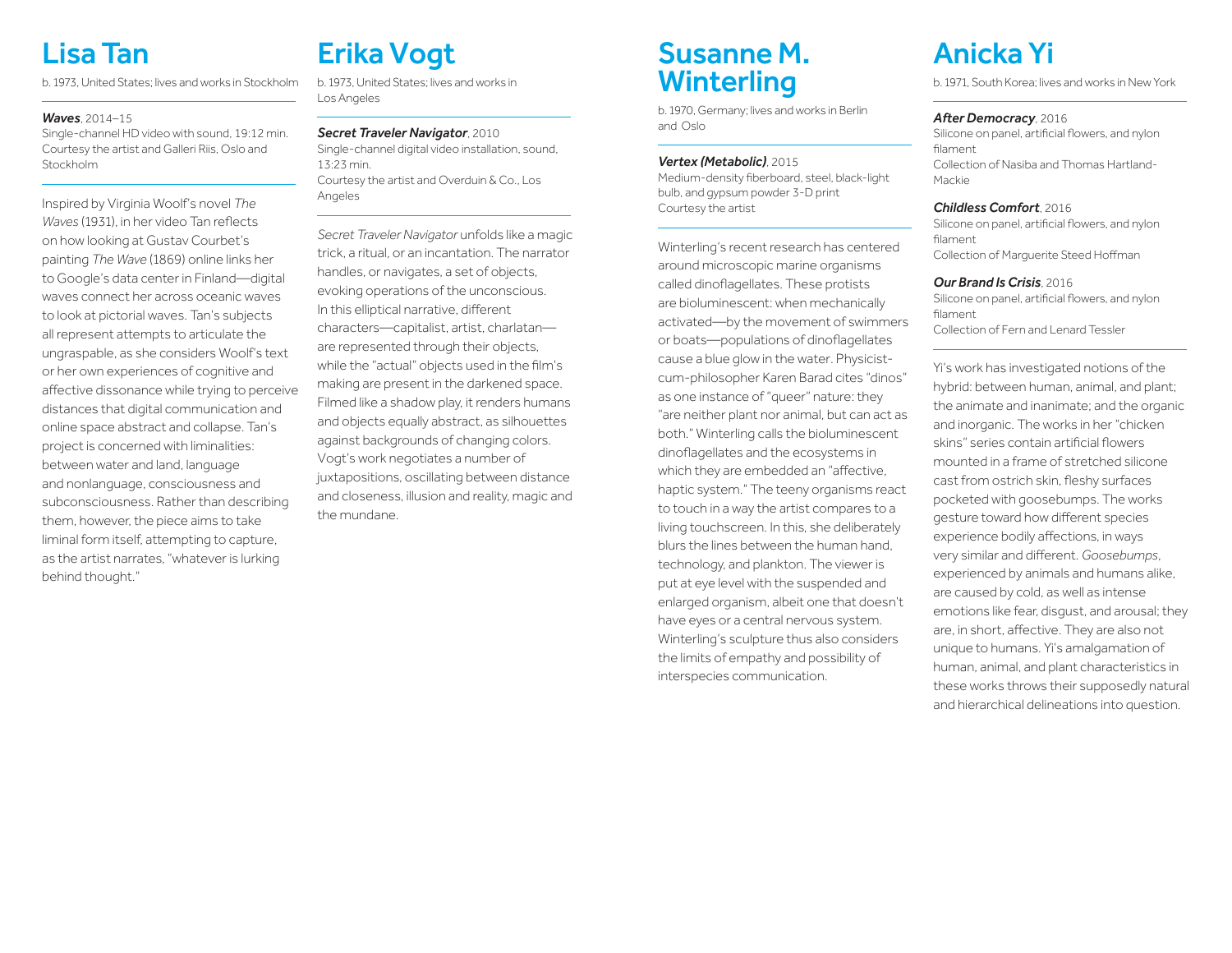# Lisa Tan

b. 1973, United States; lives and works in Stockholm

#### *Waves*, 2014–15

Single-channel HD video with sound, 19:12 min. Courtesy the artist and Galleri Riis, Oslo and Stockholm

Inspired by Virginia Woolf's novel *The Waves* (1931), in her video Tan reflects on how looking at Gustav Courbet's painting *The Wave* (1869) online links her to Google's data center in Finland—digital waves connect her across oceanic waves to look at pictorial waves. Tan's subjects all represent attempts to articulate the ungraspable, as she considers Woolf's text or her own experiences of cognitive and affective dissonance while trying to perceive distances that digital communication and online space abstract and collapse. Tan's project is concerned with liminalities: between water and land, language and nonlanguage, consciousness and subconsciousness. Rather than describing them, however, the piece aims to take liminal form itself, attempting to capture, as the artist narrates, "whatever is lurking behind thought."

# Erika Vogt

b. 1973, United States; lives and works in Los Angeles

### *Secret Traveler Navigator*, 2010

Single-channel digital video installation, sound, 13:23 min. Courtesy the artist and Overduin & Co., Los Angeles

*Secret Traveler Navigator* unfolds like a magic trick, a ritual, or an incantation. The narrator handles, or navigates, a set of objects, evoking operations of the unconscious. In this elliptical narrative, different characters—capitalist, artist, charlatan are represented through their objects, while the "actual" objects used in the film's making are present in the darkened space. Filmed like a shadow play, it renders humans and objects equally abstract, as silhouettes against backgrounds of changing colors. Vogt's work negotiates a number of juxtapositions, oscillating between distance and closeness, illusion and reality, magic and the mundane.

### Susanne M. **Winterling**

b. 1970, Germany; lives and works in Berlin and Oslo

#### *Vertex (Metabolic)*, 2015

Medium-density fiberboard, steel, black-light bulb, and gypsum powder 3-D print Courtesy the artist

Winterling's recent research has centered around microscopic marine organisms called dinoflagellates. These protists are bioluminescent: when mechanically activated—by the movement of swimmers or boats—populations of dinoflagellates cause a blue glow in the water. Physicistcum-philosopher Karen Barad cites "dinos" as one instance of "queer" nature: they "are neither plant nor animal, but can act as both." Winterling calls the bioluminescent dinoflagellates and the ecosystems in which they are embedded an "affective, haptic system." The teeny organisms react to touch in a way the artist compares to a living touchscreen. In this, she deliberately blurs the lines between the human hand, technology, and plankton. The viewer is put at eye level with the suspended and enlarged organism, albeit one that doesn't have eyes or a central nervous system. Winterling's sculpture thus also considers the limits of empathy and possibility of interspecies communication.

# Anicka Yi

b. 1971, South Korea; lives and works in New York

#### *After Democracy*, 2016

Silicone on panel, artificial flowers, and nylon filament Collection of Nasiba and Thomas Hartland-Mackie

#### *Childless Comfort*, 2016

Silicone on panel, artificial flowers, and nylon filament Collection of Marguerite Steed Hoffman

#### *Our Brand Is Crisis*, 2016

Silicone on panel, artificial flowers, and nylon filament Collection of Fern and Lenard Tessler

Yi's work has investigated notions of the hybrid: between human, animal, and plant; the animate and inanimate; and the organic and inorganic. The works in her "chicken skins" series contain artificial flowers mounted in a frame of stretched silicone cast from ostrich skin, fleshy surfaces pocketed with goosebumps. The works gesture toward how different species experience bodily affections, in ways very similar and different. *Goosebumps*, experienced by animals and humans alike, are caused by cold, as well as intense emotions like fear, disgust, and arousal; they are, in short, affective. They are also not unique to humans. Yi's amalgamation of human, animal, and plant characteristics in these works throws their supposedly natural and hierarchical delineations into question.